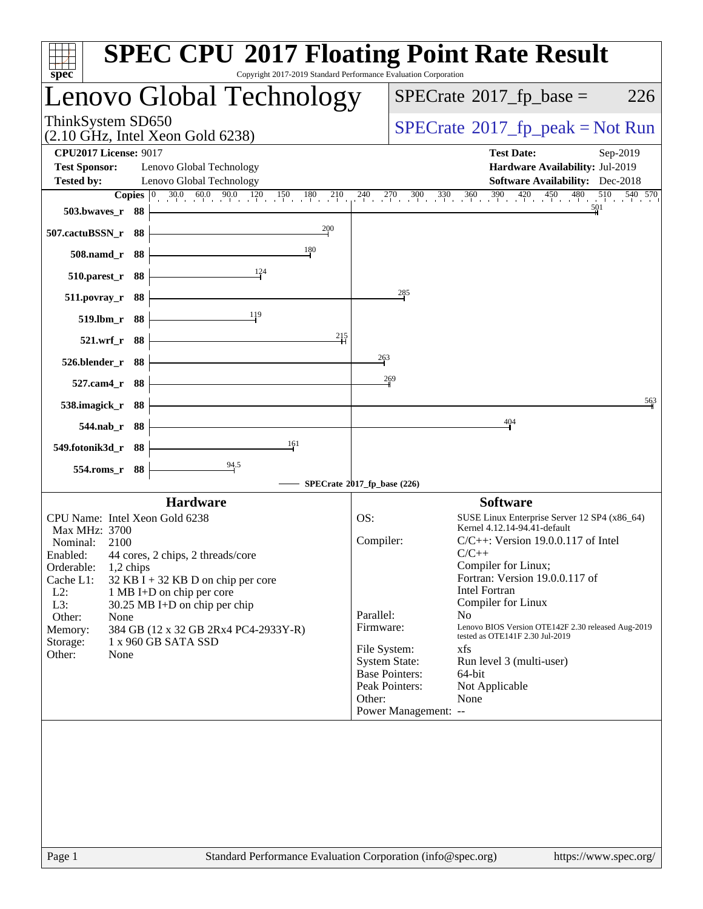| Copyright 2017-2019 Standard Performance Evaluation Corporation<br>$spec^*$                                                                                                                                                                                                                                                                                                                                                   | <b>SPEC CPU®2017 Floating Point Rate Result</b>                                                                                                                                                                                                                                                                                                                                                                                                                                                                                                                                                                 |
|-------------------------------------------------------------------------------------------------------------------------------------------------------------------------------------------------------------------------------------------------------------------------------------------------------------------------------------------------------------------------------------------------------------------------------|-----------------------------------------------------------------------------------------------------------------------------------------------------------------------------------------------------------------------------------------------------------------------------------------------------------------------------------------------------------------------------------------------------------------------------------------------------------------------------------------------------------------------------------------------------------------------------------------------------------------|
| Lenovo Global Technology                                                                                                                                                                                                                                                                                                                                                                                                      | $SPECrate^{\circ}2017$ fp base =<br>226                                                                                                                                                                                                                                                                                                                                                                                                                                                                                                                                                                         |
| ThinkSystem SD650<br>$(2.10 \text{ GHz}, \text{Intel Xeon Gold } 6238)$                                                                                                                                                                                                                                                                                                                                                       | $SPECrate^{\circ}2017$ [p_peak = Not Run                                                                                                                                                                                                                                                                                                                                                                                                                                                                                                                                                                        |
| <b>CPU2017 License: 9017</b><br><b>Test Sponsor:</b><br>Lenovo Global Technology<br><b>Tested by:</b><br>Lenovo Global Technology<br>Copies $ 0\rangle$<br>503.bwayes_r 88<br>200<br>507.cactuBSSN_r 88                                                                                                                                                                                                                       | <b>Test Date:</b><br>Sep-2019<br>Hardware Availability: Jul-2019<br><b>Software Availability:</b> Dec-2018<br>$30.0$ $60.0$ $90.0$ $120$ $150$ $180$ $210$ $240$ $270$ $300$ $330$ $360$ $390$ $420$ $450$ $480$ $510$ $540$ $570$                                                                                                                                                                                                                                                                                                                                                                              |
| 180<br>508.namd_r 88<br>124<br>510.parest_r 88<br>88<br>511.povray_r                                                                                                                                                                                                                                                                                                                                                          | 285                                                                                                                                                                                                                                                                                                                                                                                                                                                                                                                                                                                                             |
| 119<br>519.lbm_r 88<br>$\frac{215}{1}$<br>521.wrf r 88<br>526.blender r 88<br>527.cam4_r 88                                                                                                                                                                                                                                                                                                                                   | 263<br>269                                                                                                                                                                                                                                                                                                                                                                                                                                                                                                                                                                                                      |
| 538.imagick_r 88<br>544.nab_r 88<br>161<br>549.fotonik3d_r 88<br>94.5                                                                                                                                                                                                                                                                                                                                                         | 563<br>404                                                                                                                                                                                                                                                                                                                                                                                                                                                                                                                                                                                                      |
| 554.roms_r 88                                                                                                                                                                                                                                                                                                                                                                                                                 | SPECrate®2017_fp_base (226)                                                                                                                                                                                                                                                                                                                                                                                                                                                                                                                                                                                     |
| <b>Hardware</b><br>CPU Name: Intel Xeon Gold 6238<br>Max MHz: 3700<br>Nominal:<br>2100<br>Enabled: 44 cores, 2 chips, 2 threads/core<br>Orderable:<br>1,2 chips<br>Cache L1:<br>$32$ KB I + 32 KB D on chip per core<br>$L2$ :<br>1 MB I+D on chip per core<br>L3:<br>30.25 MB I+D on chip per chip<br>Other:<br>None<br>384 GB (12 x 32 GB 2Rx4 PC4-2933Y-R)<br>Memory:<br>1 x 960 GB SATA SSD<br>Storage:<br>Other:<br>None | <b>Software</b><br>OS:<br>SUSE Linux Enterprise Server 12 SP4 (x86_64)<br>Kernel 4.12.14-94.41-default<br>Compiler:<br>$C/C++$ : Version 19.0.0.117 of Intel<br>$C/C++$<br>Compiler for Linux;<br>Fortran: Version 19.0.0.117 of<br><b>Intel Fortran</b><br>Compiler for Linux<br>Parallel:<br>N <sub>0</sub><br>Lenovo BIOS Version OTE142F 2.30 released Aug-2019<br>Firmware:<br>tested as OTE141F 2.30 Jul-2019<br>File System:<br>xfs<br><b>System State:</b><br>Run level 3 (multi-user)<br><b>Base Pointers:</b><br>64-bit<br>Peak Pointers:<br>Not Applicable<br>Other:<br>None<br>Power Management: -- |
| Standard Performance Evaluation Corporation (info@spec.org)<br>Page 1                                                                                                                                                                                                                                                                                                                                                         | https://www.spec.org/                                                                                                                                                                                                                                                                                                                                                                                                                                                                                                                                                                                           |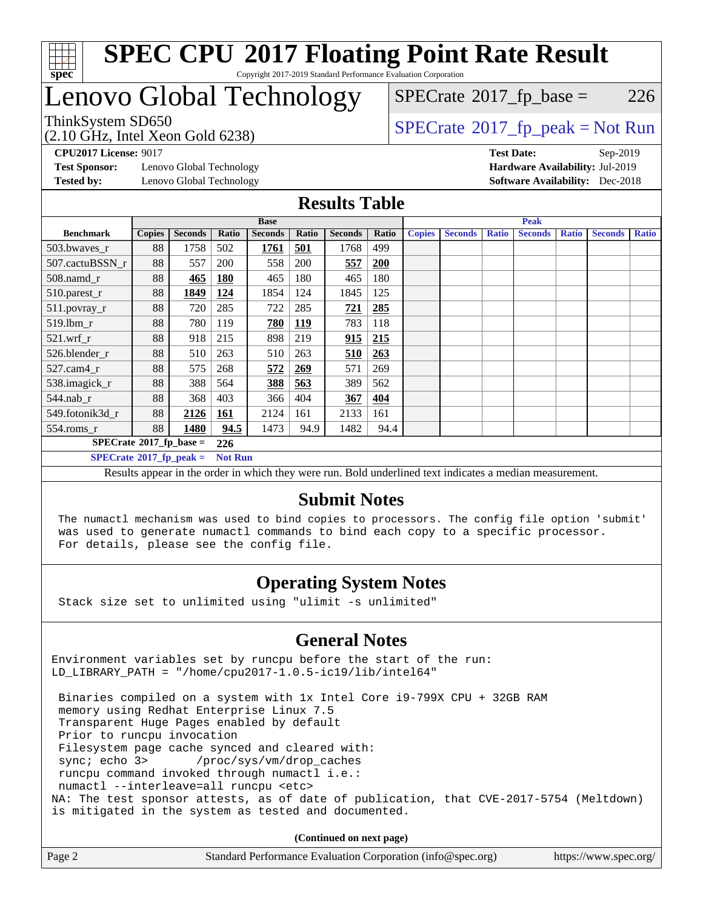

## Lenovo Global Technology

 $SPECTate@2017_fp\_base = 226$ 

(2.10 GHz, Intel Xeon Gold 6238)

 $SPECTate@2017_fp\_peak = Not Run$ 

**[Test Sponsor:](http://www.spec.org/auto/cpu2017/Docs/result-fields.html#TestSponsor)** Lenovo Global Technology **[Hardware Availability:](http://www.spec.org/auto/cpu2017/Docs/result-fields.html#HardwareAvailability)** Jul-2019 **[Tested by:](http://www.spec.org/auto/cpu2017/Docs/result-fields.html#Testedby)** Lenovo Global Technology **[Software Availability:](http://www.spec.org/auto/cpu2017/Docs/result-fields.html#SoftwareAvailability)** Dec-2018

**[CPU2017 License:](http://www.spec.org/auto/cpu2017/Docs/result-fields.html#CPU2017License)** 9017 **[Test Date:](http://www.spec.org/auto/cpu2017/Docs/result-fields.html#TestDate)** Sep-2019

#### **[Results Table](http://www.spec.org/auto/cpu2017/Docs/result-fields.html#ResultsTable)**

|                                        | <b>Base</b>   |                |                |                | <b>Peak</b> |                |       |               |                |              |                |              |                |              |
|----------------------------------------|---------------|----------------|----------------|----------------|-------------|----------------|-------|---------------|----------------|--------------|----------------|--------------|----------------|--------------|
| <b>Benchmark</b>                       | <b>Copies</b> | <b>Seconds</b> | Ratio          | <b>Seconds</b> | Ratio       | <b>Seconds</b> | Ratio | <b>Copies</b> | <b>Seconds</b> | <b>Ratio</b> | <b>Seconds</b> | <b>Ratio</b> | <b>Seconds</b> | <b>Ratio</b> |
| 503.bwayes_r                           | 88            | 1758           | 502            | 1761           | 501         | 1768           | 499   |               |                |              |                |              |                |              |
| 507.cactuBSSN r                        | 88            | 557            | 200            | 558            | 200         | 557            | 200   |               |                |              |                |              |                |              |
| 508.namd_r                             | 88            | 465            | <b>180</b>     | 465            | 180         | 465            | 180   |               |                |              |                |              |                |              |
| 510.parest_r                           | 88            | 1849           | <u>124</u>     | 1854           | 124         | 1845           | 125   |               |                |              |                |              |                |              |
| 511.povray_r                           | 88            | 720            | 285            | 722            | 285         | 721            | 285   |               |                |              |                |              |                |              |
| 519.lbm r                              | 88            | 780            | 119            | 780            | <u>119</u>  | 783            | 118   |               |                |              |                |              |                |              |
| $521$ .wrf r                           | 88            | 918            | 215            | 898            | 219         | 915            | 215   |               |                |              |                |              |                |              |
| 526.blender r                          | 88            | 510            | 263            | 510            | 263         | 510            | 263   |               |                |              |                |              |                |              |
| 527.cam4 r                             | 88            | 575            | 268            | 572            | 269         | 571            | 269   |               |                |              |                |              |                |              |
| 538.imagick_r                          | 88            | 388            | 564            | 388            | 563         | 389            | 562   |               |                |              |                |              |                |              |
| $544$ .nab r                           | 88            | 368            | 403            | 366            | 404         | 367            | 404   |               |                |              |                |              |                |              |
| 549.fotonik3d r                        | 88            | 2126           | 161            | 2124           | 161         | 2133           | 161   |               |                |              |                |              |                |              |
| $554$ .roms_r                          | 88            | 1480           | 94.5           | 1473           | 94.9        | 1482           | 94.4  |               |                |              |                |              |                |              |
| $SPECrate$ <sup>®</sup> 2017_fp_base = |               |                | 226            |                |             |                |       |               |                |              |                |              |                |              |
| $SPECrate^{\circ}2017$ fp peak =       |               |                | <b>Not Run</b> |                |             |                |       |               |                |              |                |              |                |              |

Results appear in the [order in which they were run.](http://www.spec.org/auto/cpu2017/Docs/result-fields.html#RunOrder) Bold underlined text [indicates a median measurement.](http://www.spec.org/auto/cpu2017/Docs/result-fields.html#Median)

#### **[Submit Notes](http://www.spec.org/auto/cpu2017/Docs/result-fields.html#SubmitNotes)**

 The numactl mechanism was used to bind copies to processors. The config file option 'submit' was used to generate numactl commands to bind each copy to a specific processor. For details, please see the config file.

### **[Operating System Notes](http://www.spec.org/auto/cpu2017/Docs/result-fields.html#OperatingSystemNotes)**

Stack size set to unlimited using "ulimit -s unlimited"

### **[General Notes](http://www.spec.org/auto/cpu2017/Docs/result-fields.html#GeneralNotes)**

Environment variables set by runcpu before the start of the run: LD\_LIBRARY\_PATH = "/home/cpu2017-1.0.5-ic19/lib/intel64"

 Binaries compiled on a system with 1x Intel Core i9-799X CPU + 32GB RAM memory using Redhat Enterprise Linux 7.5 Transparent Huge Pages enabled by default Prior to runcpu invocation Filesystem page cache synced and cleared with: sync; echo 3> /proc/sys/vm/drop\_caches runcpu command invoked through numactl i.e.: numactl --interleave=all runcpu <etc> NA: The test sponsor attests, as of date of publication, that CVE-2017-5754 (Meltdown) is mitigated in the system as tested and documented.

**(Continued on next page)**

| Page 2 | Standard Performance Evaluation Corporation (info@spec.org) | https://www.spec.org/ |
|--------|-------------------------------------------------------------|-----------------------|
|        |                                                             |                       |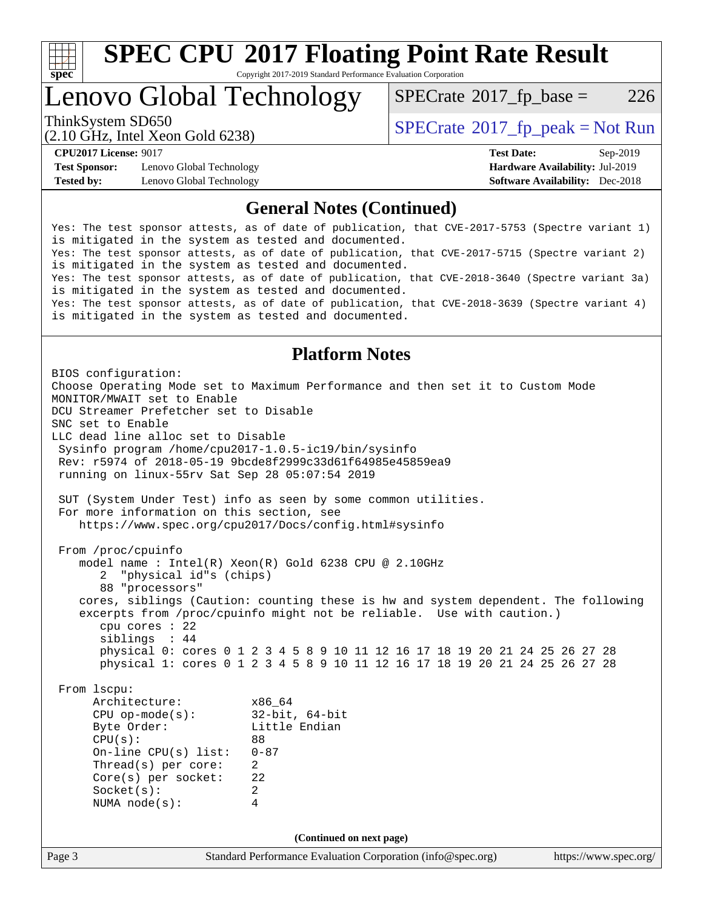

# **[SPEC CPU](http://www.spec.org/auto/cpu2017/Docs/result-fields.html#SPECCPU2017FloatingPointRateResult)[2017 Floating Point Rate Result](http://www.spec.org/auto/cpu2017/Docs/result-fields.html#SPECCPU2017FloatingPointRateResult)**

Copyright 2017-2019 Standard Performance Evaluation Corporation

Lenovo Global Technology

 $SPECTate@2017_fp\_base = 226$ 

(2.10 GHz, Intel Xeon Gold 6238)

ThinkSystem SD650  $SPECrate@2017_fp\_peak = Not Run$  $SPECrate@2017_fp\_peak = Not Run$ 

**[Test Sponsor:](http://www.spec.org/auto/cpu2017/Docs/result-fields.html#TestSponsor)** Lenovo Global Technology **[Hardware Availability:](http://www.spec.org/auto/cpu2017/Docs/result-fields.html#HardwareAvailability)** Jul-2019 **[Tested by:](http://www.spec.org/auto/cpu2017/Docs/result-fields.html#Testedby)** Lenovo Global Technology **[Software Availability:](http://www.spec.org/auto/cpu2017/Docs/result-fields.html#SoftwareAvailability)** Dec-2018

**[CPU2017 License:](http://www.spec.org/auto/cpu2017/Docs/result-fields.html#CPU2017License)** 9017 **[Test Date:](http://www.spec.org/auto/cpu2017/Docs/result-fields.html#TestDate)** Sep-2019

#### **[General Notes \(Continued\)](http://www.spec.org/auto/cpu2017/Docs/result-fields.html#GeneralNotes)**

Yes: The test sponsor attests, as of date of publication, that CVE-2017-5753 (Spectre variant 1) is mitigated in the system as tested and documented. Yes: The test sponsor attests, as of date of publication, that CVE-2017-5715 (Spectre variant 2) is mitigated in the system as tested and documented. Yes: The test sponsor attests, as of date of publication, that CVE-2018-3640 (Spectre variant 3a) is mitigated in the system as tested and documented. Yes: The test sponsor attests, as of date of publication, that CVE-2018-3639 (Spectre variant 4) is mitigated in the system as tested and documented.

#### **[Platform Notes](http://www.spec.org/auto/cpu2017/Docs/result-fields.html#PlatformNotes)**

Page 3 Standard Performance Evaluation Corporation [\(info@spec.org\)](mailto:info@spec.org) <https://www.spec.org/> BIOS configuration: Choose Operating Mode set to Maximum Performance and then set it to Custom Mode MONITOR/MWAIT set to Enable DCU Streamer Prefetcher set to Disable SNC set to Enable LLC dead line alloc set to Disable Sysinfo program /home/cpu2017-1.0.5-ic19/bin/sysinfo Rev: r5974 of 2018-05-19 9bcde8f2999c33d61f64985e45859ea9 running on linux-55rv Sat Sep 28 05:07:54 2019 SUT (System Under Test) info as seen by some common utilities. For more information on this section, see <https://www.spec.org/cpu2017/Docs/config.html#sysinfo> From /proc/cpuinfo model name : Intel(R) Xeon(R) Gold 6238 CPU @ 2.10GHz 2 "physical id"s (chips) 88 "processors" cores, siblings (Caution: counting these is hw and system dependent. The following excerpts from /proc/cpuinfo might not be reliable. Use with caution.) cpu cores : 22 siblings : 44 physical 0: cores 0 1 2 3 4 5 8 9 10 11 12 16 17 18 19 20 21 24 25 26 27 28 physical 1: cores 0 1 2 3 4 5 8 9 10 11 12 16 17 18 19 20 21 24 25 26 27 28 From lscpu: Architecture: x86\_64 CPU op-mode(s): 32-bit, 64-bit Little Endian CPU(s): 88 On-line CPU(s) list: 0-87 Thread(s) per core: 2 Core(s) per socket: 22 Socket(s): 2 NUMA node(s): 4 **(Continued on next page)**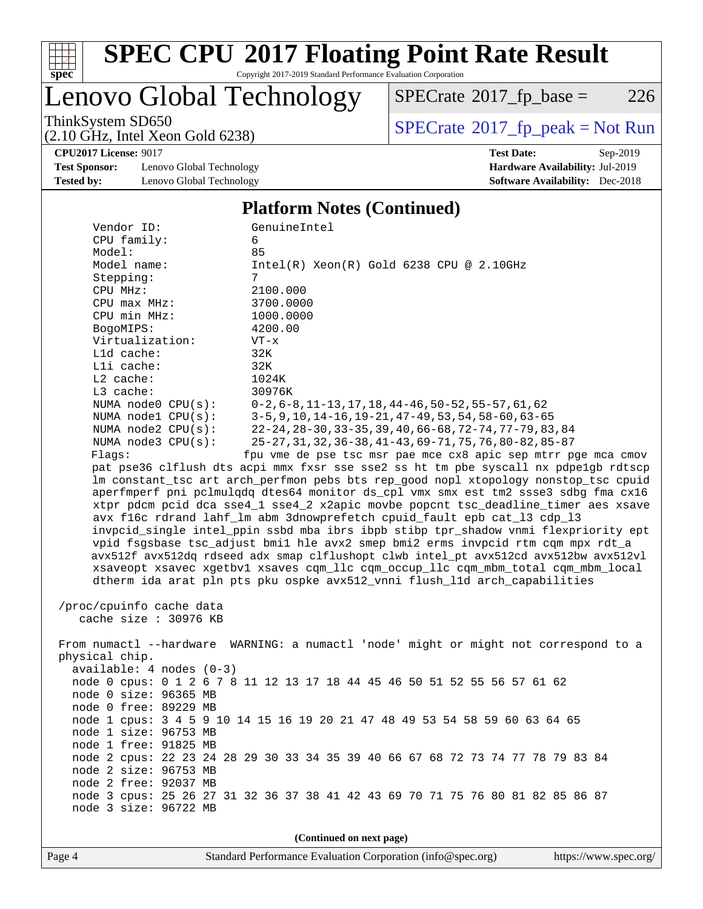

# **[SPEC CPU](http://www.spec.org/auto/cpu2017/Docs/result-fields.html#SPECCPU2017FloatingPointRateResult)[2017 Floating Point Rate Result](http://www.spec.org/auto/cpu2017/Docs/result-fields.html#SPECCPU2017FloatingPointRateResult)**

Copyright 2017-2019 Standard Performance Evaluation Corporation

Lenovo Global Technology

 $SPECTate@2017_fp\_base = 226$ 

(2.10 GHz, Intel Xeon Gold 6238)

ThinkSystem SD650<br>
(2.10 GHz, Intel Xeon Gold 6238) [SPECrate](http://www.spec.org/auto/cpu2017/Docs/result-fields.html#SPECrate2017fppeak)®[2017\\_fp\\_peak = N](http://www.spec.org/auto/cpu2017/Docs/result-fields.html#SPECrate2017fppeak)ot Run

**[CPU2017 License:](http://www.spec.org/auto/cpu2017/Docs/result-fields.html#CPU2017License)** 9017 **[Test Date:](http://www.spec.org/auto/cpu2017/Docs/result-fields.html#TestDate)** Sep-2019

**[Test Sponsor:](http://www.spec.org/auto/cpu2017/Docs/result-fields.html#TestSponsor)** Lenovo Global Technology **[Hardware Availability:](http://www.spec.org/auto/cpu2017/Docs/result-fields.html#HardwareAvailability)** Jul-2019 **[Tested by:](http://www.spec.org/auto/cpu2017/Docs/result-fields.html#Testedby)** Lenovo Global Technology **[Software Availability:](http://www.spec.org/auto/cpu2017/Docs/result-fields.html#SoftwareAvailability)** Dec-2018

#### **[Platform Notes \(Continued\)](http://www.spec.org/auto/cpu2017/Docs/result-fields.html#PlatformNotes)**

| Vendor ID:<br>CPU family:                                                            | GenuineIntel<br>6                                                                                                                                                      |  |  |  |  |  |  |
|--------------------------------------------------------------------------------------|------------------------------------------------------------------------------------------------------------------------------------------------------------------------|--|--|--|--|--|--|
| Model:                                                                               | 85                                                                                                                                                                     |  |  |  |  |  |  |
| Model name:                                                                          | $Intel(R) Xeon(R) Gold 6238 CPU @ 2.10GHz$                                                                                                                             |  |  |  |  |  |  |
| Stepping:                                                                            | 7                                                                                                                                                                      |  |  |  |  |  |  |
| CPU MHz:                                                                             | 2100.000                                                                                                                                                               |  |  |  |  |  |  |
| CPU max MHz:                                                                         | 3700.0000                                                                                                                                                              |  |  |  |  |  |  |
| CPU min MHz:                                                                         | 1000.0000                                                                                                                                                              |  |  |  |  |  |  |
| BogoMIPS:                                                                            | 4200.00                                                                                                                                                                |  |  |  |  |  |  |
| Virtualization:                                                                      | $VT - x$                                                                                                                                                               |  |  |  |  |  |  |
| L1d cache:                                                                           | 32K                                                                                                                                                                    |  |  |  |  |  |  |
| Lli cache:                                                                           | 32K                                                                                                                                                                    |  |  |  |  |  |  |
| $L2$ cache:                                                                          | 1024K                                                                                                                                                                  |  |  |  |  |  |  |
| L3 cache:                                                                            | 30976K                                                                                                                                                                 |  |  |  |  |  |  |
| NUMA node0 CPU(s):                                                                   | $0-2, 6-8, 11-13, 17, 18, 44-46, 50-52, 55-57, 61, 62$                                                                                                                 |  |  |  |  |  |  |
| NUMA nodel $CPU(s):$                                                                 | $3-5, 9, 10, 14-16, 19-21, 47-49, 53, 54, 58-60, 63-65$                                                                                                                |  |  |  |  |  |  |
| NUMA $node2$ $CPU(s)$ :                                                              | 22-24, 28-30, 33-35, 39, 40, 66-68, 72-74, 77-79, 83, 84                                                                                                               |  |  |  |  |  |  |
| NUMA node3 CPU(s):                                                                   | 25-27, 31, 32, 36-38, 41-43, 69-71, 75, 76, 80-82, 85-87                                                                                                               |  |  |  |  |  |  |
| Flaqs:                                                                               | fpu vme de pse tsc msr pae mce cx8 apic sep mtrr pge mca cmov                                                                                                          |  |  |  |  |  |  |
|                                                                                      | pat pse36 clflush dts acpi mmx fxsr sse sse2 ss ht tm pbe syscall nx pdpelgb rdtscp                                                                                    |  |  |  |  |  |  |
|                                                                                      | lm constant_tsc art arch_perfmon pebs bts rep_good nopl xtopology nonstop_tsc cpuid                                                                                    |  |  |  |  |  |  |
|                                                                                      | aperfmperf pni pclmulqdq dtes64 monitor ds_cpl vmx smx est tm2 ssse3 sdbg fma cx16                                                                                     |  |  |  |  |  |  |
|                                                                                      | xtpr pdcm pcid dca sse4_1 sse4_2 x2apic movbe popcnt tsc_deadline_timer aes xsave<br>avx f16c rdrand lahf lm abm 3dnowprefetch cpuid fault epb cat 13 cdp 13           |  |  |  |  |  |  |
|                                                                                      |                                                                                                                                                                        |  |  |  |  |  |  |
|                                                                                      | invpcid_single intel_ppin ssbd mba ibrs ibpb stibp tpr_shadow vnmi flexpriority ept<br>vpid fsgsbase tsc_adjust bmil hle avx2 smep bmi2 erms invpcid rtm cqm mpx rdt_a |  |  |  |  |  |  |
|                                                                                      | avx512f avx512dq rdseed adx smap clflushopt clwb intel_pt avx512cd avx512bw avx512vl                                                                                   |  |  |  |  |  |  |
|                                                                                      | xsaveopt xsavec xgetbvl xsaves cqm_llc cqm_occup_llc cqm_mbm_total cqm_mbm_local                                                                                       |  |  |  |  |  |  |
|                                                                                      |                                                                                                                                                                        |  |  |  |  |  |  |
| dtherm ida arat pln pts pku ospke avx512_vnni flush_lld arch_capabilities            |                                                                                                                                                                        |  |  |  |  |  |  |
| /proc/cpuinfo cache data                                                             |                                                                                                                                                                        |  |  |  |  |  |  |
| cache size : 30976 KB                                                                |                                                                                                                                                                        |  |  |  |  |  |  |
| From numactl --hardware WARNING: a numactl 'node' might or might not correspond to a |                                                                                                                                                                        |  |  |  |  |  |  |
| physical chip.                                                                       |                                                                                                                                                                        |  |  |  |  |  |  |
| $available: 4 nodes (0-3)$                                                           |                                                                                                                                                                        |  |  |  |  |  |  |
|                                                                                      | node 0 cpus: 0 1 2 6 7 8 11 12 13 17 18 44 45 46 50 51 52 55 56 57 61 62                                                                                               |  |  |  |  |  |  |
| node 0 size: 96365 MB                                                                |                                                                                                                                                                        |  |  |  |  |  |  |
| node 0 free: 89229 MB                                                                |                                                                                                                                                                        |  |  |  |  |  |  |
|                                                                                      | node 1 cpus: 3 4 5 9 10 14 15 16 19 20 21 47 48 49 53 54 58 59 60 63 64 65                                                                                             |  |  |  |  |  |  |
| node 1 size: 96753 MB                                                                |                                                                                                                                                                        |  |  |  |  |  |  |
| node 1 free: 91825 MB                                                                |                                                                                                                                                                        |  |  |  |  |  |  |
|                                                                                      | node 2 cpus: 22 23 24 28 29 30 33 34 35 39 40 66 67 68 72 73 74 77 78 79 83 84                                                                                         |  |  |  |  |  |  |
| node 2 size: 96753 MB                                                                |                                                                                                                                                                        |  |  |  |  |  |  |
| node 2 free: 92037 MB                                                                |                                                                                                                                                                        |  |  |  |  |  |  |
|                                                                                      | node 3 cpus: 25 26 27 31 32 36 37 38 41 42 43 69 70 71 75 76 80 81 82 85 86 87                                                                                         |  |  |  |  |  |  |
| node 3 size: 96722 MB                                                                |                                                                                                                                                                        |  |  |  |  |  |  |
|                                                                                      |                                                                                                                                                                        |  |  |  |  |  |  |
|                                                                                      | (Continued on next page)                                                                                                                                               |  |  |  |  |  |  |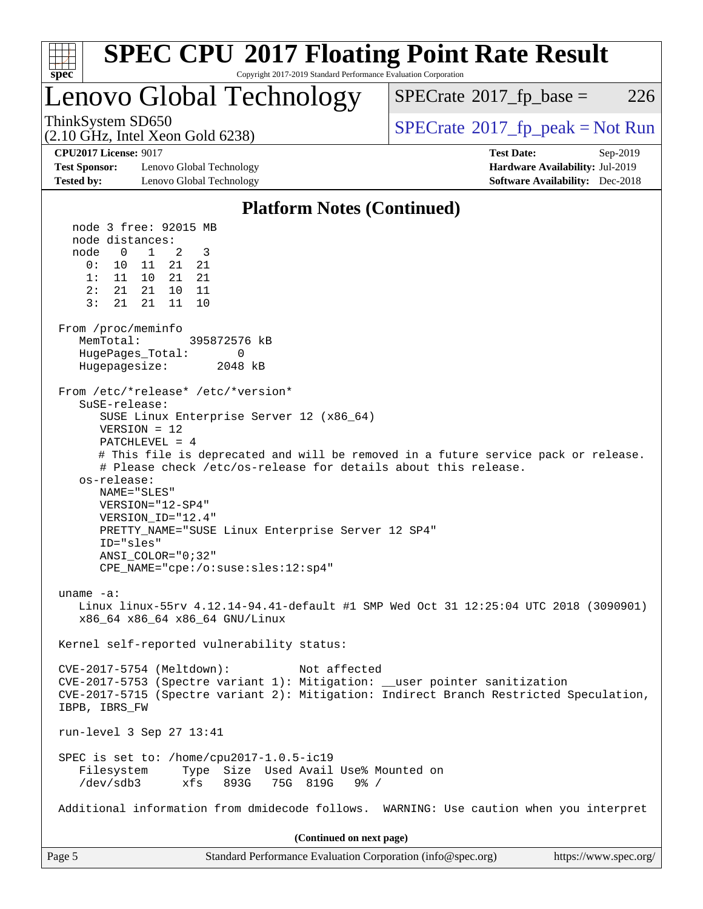| <b>SPEC CPU®2017 Floating Point Rate Result</b><br>Copyright 2017-2019 Standard Performance Evaluation Corporation<br>$spec^*$                                                                                                                                                                                                                                                                                                                                                                                 |                                                                  |
|----------------------------------------------------------------------------------------------------------------------------------------------------------------------------------------------------------------------------------------------------------------------------------------------------------------------------------------------------------------------------------------------------------------------------------------------------------------------------------------------------------------|------------------------------------------------------------------|
| Lenovo Global Technology                                                                                                                                                                                                                                                                                                                                                                                                                                                                                       | $SPECrate^{\circledast}2017$ _fp_base =<br>226                   |
| ThinkSystem SD650<br>(2.10 GHz, Intel Xeon Gold 6238)                                                                                                                                                                                                                                                                                                                                                                                                                                                          | $SPECrate^{\circ}2017$ [p_peak = Not Run                         |
| <b>CPU2017 License: 9017</b><br><b>Test Sponsor:</b><br>Lenovo Global Technology                                                                                                                                                                                                                                                                                                                                                                                                                               | <b>Test Date:</b><br>Sep-2019<br>Hardware Availability: Jul-2019 |
| <b>Tested by:</b><br>Lenovo Global Technology                                                                                                                                                                                                                                                                                                                                                                                                                                                                  | <b>Software Availability:</b> Dec-2018                           |
| <b>Platform Notes (Continued)</b>                                                                                                                                                                                                                                                                                                                                                                                                                                                                              |                                                                  |
| node 3 free: 92015 MB<br>node distances:<br>node<br>$\overline{0}$<br>3<br>$\mathbf{1}$<br>2<br>21<br>0:<br>10<br>21<br>- 11<br>1:<br>11 10<br>21<br>21<br>2:<br>21 21<br>10<br>11<br>3:<br>21<br>11<br>21<br>10                                                                                                                                                                                                                                                                                               |                                                                  |
| From /proc/meminfo<br>MemTotal:<br>395872576 kB<br>HugePages_Total:<br>0<br>Hugepagesize:<br>2048 kB                                                                                                                                                                                                                                                                                                                                                                                                           |                                                                  |
| From /etc/*release* /etc/*version*<br>SuSE-release:<br>SUSE Linux Enterprise Server 12 (x86_64)<br>$VERSION = 12$<br>$PATCHLEVEL = 4$<br># This file is deprecated and will be removed in a future service pack or release.<br># Please check /etc/os-release for details about this release.<br>os-release:<br>NAME="SLES"<br>VERSION="12-SP4"<br>VERSION ID="12.4"<br>PRETTY_NAME="SUSE Linux Enterprise Server 12 SP4"<br>ID="sles"<br>$ANSI$ _COLOR=" $0:32"$<br>$CPE\_NAME = "cpe://o:suse: sles:12:sp4"$ |                                                                  |
| uname $-a$ :<br>Linux linux-55rv 4.12.14-94.41-default #1 SMP Wed Oct 31 12:25:04 UTC 2018 (3090901)<br>x86_64 x86_64 x86_64 GNU/Linux                                                                                                                                                                                                                                                                                                                                                                         |                                                                  |
| Kernel self-reported vulnerability status:                                                                                                                                                                                                                                                                                                                                                                                                                                                                     |                                                                  |
| CVE-2017-5754 (Meltdown):<br>Not affected<br>CVE-2017-5753 (Spectre variant 1): Mitigation: __user pointer sanitization<br>CVE-2017-5715 (Spectre variant 2): Mitigation: Indirect Branch Restricted Speculation,<br>IBPB, IBRS FW                                                                                                                                                                                                                                                                             |                                                                  |
| run-level 3 Sep 27 13:41                                                                                                                                                                                                                                                                                                                                                                                                                                                                                       |                                                                  |
| SPEC is set to: /home/cpu2017-1.0.5-ic19<br>Filesystem<br>Type Size Used Avail Use% Mounted on<br>$/\text{dev/sdb3}$<br>xfs<br>893G<br>75G 819G<br>$9\frac{8}{10}$ /                                                                                                                                                                                                                                                                                                                                           |                                                                  |
| Additional information from dmidecode follows. WARNING: Use caution when you interpret                                                                                                                                                                                                                                                                                                                                                                                                                         |                                                                  |
| (Continued on next page)                                                                                                                                                                                                                                                                                                                                                                                                                                                                                       |                                                                  |
| Page 5<br>Standard Performance Evaluation Corporation (info@spec.org)                                                                                                                                                                                                                                                                                                                                                                                                                                          | https://www.spec.org/                                            |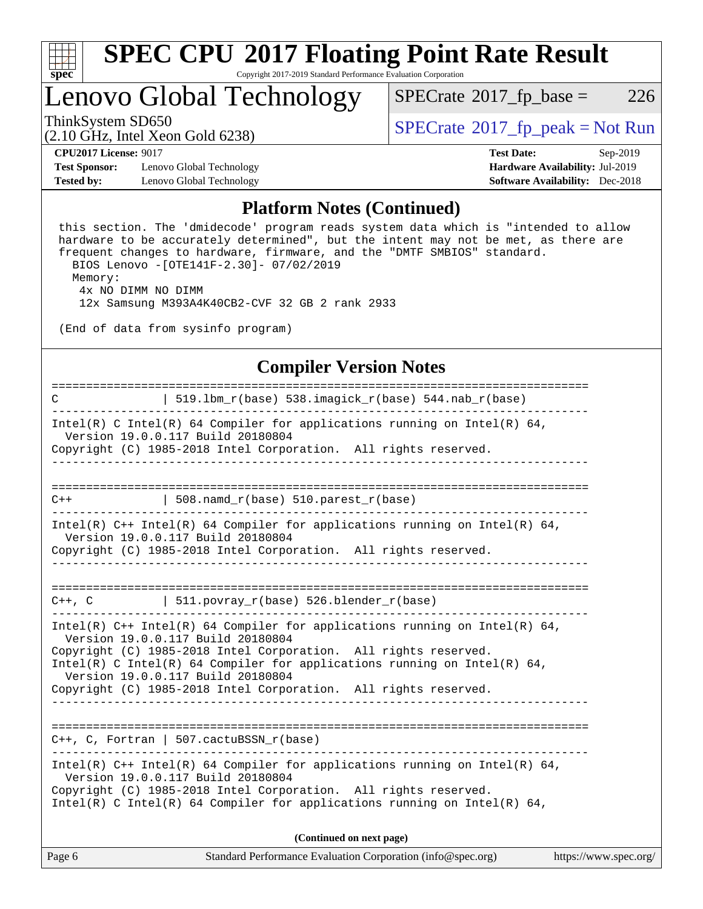

## Lenovo Global Technology

 $SPECTate@2017_fp\_base = 226$ 

(2.10 GHz, Intel Xeon Gold 6238)

ThinkSystem SD650<br>  $\begin{array}{c}\n\text{SPECrate} \textcirc 2017\_fp\_peak = Not Run \\
\text{SPECrate} \textcirc 2017\_fp\_peak = Not Run\n\end{array}$  $\begin{array}{c}\n\text{SPECrate} \textcirc 2017\_fp\_peak = Not Run \\
\text{SPECrate} \textcirc 2017\_fp\_peak = Not Run\n\end{array}$  $\begin{array}{c}\n\text{SPECrate} \textcirc 2017\_fp\_peak = Not Run \\
\text{SPECrate} \textcirc 2017\_fp\_peak = Not Run\n\end{array}$ 

**[Test Sponsor:](http://www.spec.org/auto/cpu2017/Docs/result-fields.html#TestSponsor)** Lenovo Global Technology **[Hardware Availability:](http://www.spec.org/auto/cpu2017/Docs/result-fields.html#HardwareAvailability)** Jul-2019 **[Tested by:](http://www.spec.org/auto/cpu2017/Docs/result-fields.html#Testedby)** Lenovo Global Technology **[Software Availability:](http://www.spec.org/auto/cpu2017/Docs/result-fields.html#SoftwareAvailability)** Dec-2018

**[CPU2017 License:](http://www.spec.org/auto/cpu2017/Docs/result-fields.html#CPU2017License)** 9017 **[Test Date:](http://www.spec.org/auto/cpu2017/Docs/result-fields.html#TestDate)** Sep-2019

#### **[Platform Notes \(Continued\)](http://www.spec.org/auto/cpu2017/Docs/result-fields.html#PlatformNotes)**

 this section. The 'dmidecode' program reads system data which is "intended to allow hardware to be accurately determined", but the intent may not be met, as there are frequent changes to hardware, firmware, and the "DMTF SMBIOS" standard. BIOS Lenovo -[OTE141F-2.30]- 07/02/2019 Memory: 4x NO DIMM NO DIMM

12x Samsung M393A4K40CB2-CVF 32 GB 2 rank 2933

(End of data from sysinfo program)

#### **[Compiler Version Notes](http://www.spec.org/auto/cpu2017/Docs/result-fields.html#CompilerVersionNotes)**

| Page 6 |                                                                                                      | Standard Performance Evaluation Corporation (info@spec.org)                                                                                            | https://www.spec.org/ |
|--------|------------------------------------------------------------------------------------------------------|--------------------------------------------------------------------------------------------------------------------------------------------------------|-----------------------|
|        |                                                                                                      | (Continued on next page)                                                                                                                               |                       |
|        | Version 19.0.0.117 Build 20180804<br>Copyright (C) 1985-2018 Intel Corporation. All rights reserved. | Intel(R) C++ Intel(R) 64 Compiler for applications running on Intel(R) 64,<br>Intel(R) C Intel(R) 64 Compiler for applications running on Intel(R) 64, |                       |
|        | $C++$ , C, Fortran   507.cactuBSSN_r(base)                                                           |                                                                                                                                                        |                       |
|        | Version 19.0.0.117 Build 20180804<br>Copyright (C) 1985-2018 Intel Corporation. All rights reserved. | Intel(R) C Intel(R) 64 Compiler for applications running on Intel(R) 64,<br><u>La de de de de de de d</u> e                                            |                       |
|        | Version 19.0.0.117 Build 20180804<br>Copyright (C) 1985-2018 Intel Corporation. All rights reserved. | Intel(R) $C++$ Intel(R) 64 Compiler for applications running on Intel(R) 64,                                                                           |                       |
|        | $C++$ , C   511.povray_r(base) 526.blender_r(base)                                                   |                                                                                                                                                        |                       |
|        |                                                                                                      | <u> - - - - - - - - - - - -</u>                                                                                                                        |                       |
|        | Version 19.0.0.117 Build 20180804<br>Copyright (C) 1985-2018 Intel Corporation. All rights reserved. | Intel(R) $C++$ Intel(R) 64 Compiler for applications running on Intel(R) 64,                                                                           |                       |
| $C++$  | $\vert$ 508.namd_r(base) 510.parest_r(base)                                                          |                                                                                                                                                        |                       |
|        | _____________________________                                                                        |                                                                                                                                                        |                       |
|        | Version 19.0.0.117 Build 20180804<br>Copyright (C) 1985-2018 Intel Corporation. All rights reserved. | Intel(R) C Intel(R) 64 Compiler for applications running on Intel(R) 64,                                                                               |                       |
| C      |                                                                                                      | 519.1bm_r(base) 538.imagick_r(base) 544.nab_r(base)                                                                                                    |                       |
|        |                                                                                                      |                                                                                                                                                        |                       |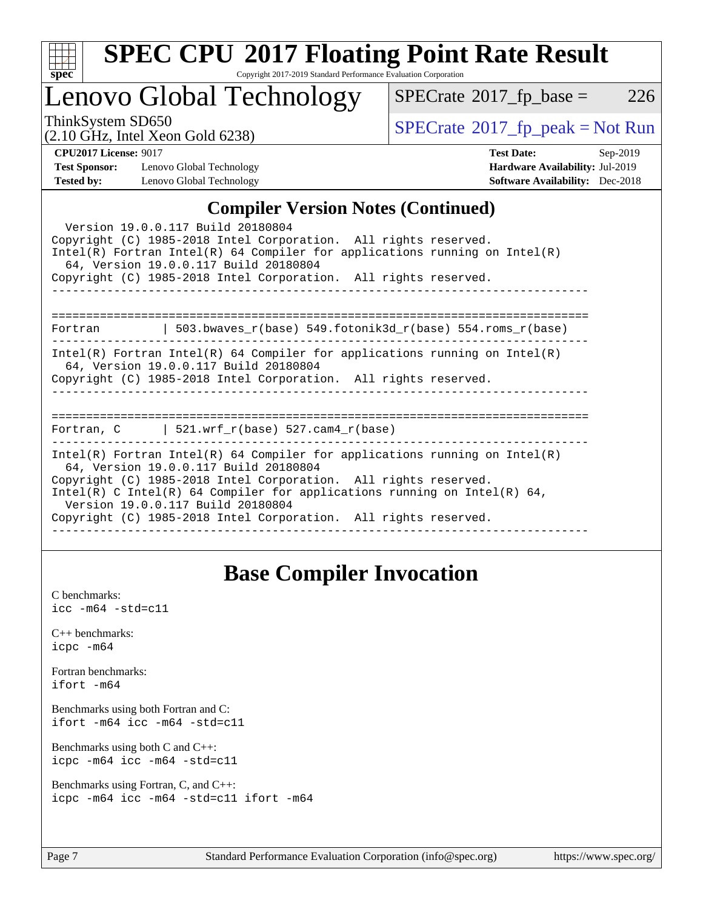

# **[SPEC CPU](http://www.spec.org/auto/cpu2017/Docs/result-fields.html#SPECCPU2017FloatingPointRateResult)[2017 Floating Point Rate Result](http://www.spec.org/auto/cpu2017/Docs/result-fields.html#SPECCPU2017FloatingPointRateResult)**

Copyright 2017-2019 Standard Performance Evaluation Corporation

## Lenovo Global Technology

 $SPECTate@2017_fp\_base = 226$ 

(2.10 GHz, Intel Xeon Gold 6238)

 $SPECTate@2017<sub>fr</sub> peak = Not Run$ 

**[Test Sponsor:](http://www.spec.org/auto/cpu2017/Docs/result-fields.html#TestSponsor)** Lenovo Global Technology **[Hardware Availability:](http://www.spec.org/auto/cpu2017/Docs/result-fields.html#HardwareAvailability)** Jul-2019 **[Tested by:](http://www.spec.org/auto/cpu2017/Docs/result-fields.html#Testedby)** Lenovo Global Technology **[Software Availability:](http://www.spec.org/auto/cpu2017/Docs/result-fields.html#SoftwareAvailability)** Dec-2018

**[CPU2017 License:](http://www.spec.org/auto/cpu2017/Docs/result-fields.html#CPU2017License)** 9017 **[Test Date:](http://www.spec.org/auto/cpu2017/Docs/result-fields.html#TestDate)** Sep-2019

#### **[Compiler Version Notes \(Continued\)](http://www.spec.org/auto/cpu2017/Docs/result-fields.html#CompilerVersionNotes)**

| $\sim$ 0.11 $\sim$ 1.01 $\sim$ 1.01 $\sim$ 1.000 $\sim$ 0.11 $\sim$ 0.11                                                                                                                                                                                                                                                                                                     |
|------------------------------------------------------------------------------------------------------------------------------------------------------------------------------------------------------------------------------------------------------------------------------------------------------------------------------------------------------------------------------|
| Version 19.0.0.117 Build 20180804<br>Copyright (C) 1985-2018 Intel Corporation. All rights reserved.<br>$Intel(R)$ Fortran Intel(R) 64 Compiler for applications running on Intel(R)                                                                                                                                                                                         |
| 64, Version 19.0.0.117 Build 20180804<br>Copyright (C) 1985-2018 Intel Corporation. All rights reserved.                                                                                                                                                                                                                                                                     |
| 503.bwaves_r(base) 549.fotonik3d_r(base) 554.roms_r(base)<br>Fortran                                                                                                                                                                                                                                                                                                         |
| Intel(R) Fortran Intel(R) 64 Compiler for applications running on Intel(R)<br>64, Version 19.0.0.117 Build 20180804<br>Copyright (C) 1985-2018 Intel Corporation. All rights reserved.                                                                                                                                                                                       |
| Fortran, $C$   521.wrf $r(base)$ 527.cam4 $r(base)$                                                                                                                                                                                                                                                                                                                          |
| $Intel(R)$ Fortran Intel(R) 64 Compiler for applications running on Intel(R)<br>64, Version 19.0.0.117 Build 20180804<br>Copyright (C) 1985-2018 Intel Corporation. All rights reserved.<br>Intel(R) C Intel(R) 64 Compiler for applications running on Intel(R) 64,<br>Version 19.0.0.117 Build 20180804<br>Copyright (C) 1985-2018 Intel Corporation. All rights reserved. |
|                                                                                                                                                                                                                                                                                                                                                                              |

### **[Base Compiler Invocation](http://www.spec.org/auto/cpu2017/Docs/result-fields.html#BaseCompilerInvocation)**

[C benchmarks](http://www.spec.org/auto/cpu2017/Docs/result-fields.html#Cbenchmarks): [icc -m64 -std=c11](http://www.spec.org/cpu2017/results/res2019q4/cpu2017-20191014-19103.flags.html#user_CCbase_intel_icc_64bit_c11_33ee0cdaae7deeeab2a9725423ba97205ce30f63b9926c2519791662299b76a0318f32ddfffdc46587804de3178b4f9328c46fa7c2b0cd779d7a61945c91cd35)

[C++ benchmarks:](http://www.spec.org/auto/cpu2017/Docs/result-fields.html#CXXbenchmarks) [icpc -m64](http://www.spec.org/cpu2017/results/res2019q4/cpu2017-20191014-19103.flags.html#user_CXXbase_intel_icpc_64bit_4ecb2543ae3f1412ef961e0650ca070fec7b7afdcd6ed48761b84423119d1bf6bdf5cad15b44d48e7256388bc77273b966e5eb805aefd121eb22e9299b2ec9d9)

[Fortran benchmarks](http://www.spec.org/auto/cpu2017/Docs/result-fields.html#Fortranbenchmarks): [ifort -m64](http://www.spec.org/cpu2017/results/res2019q4/cpu2017-20191014-19103.flags.html#user_FCbase_intel_ifort_64bit_24f2bb282fbaeffd6157abe4f878425411749daecae9a33200eee2bee2fe76f3b89351d69a8130dd5949958ce389cf37ff59a95e7a40d588e8d3a57e0c3fd751)

[Benchmarks using both Fortran and C](http://www.spec.org/auto/cpu2017/Docs/result-fields.html#BenchmarksusingbothFortranandC): [ifort -m64](http://www.spec.org/cpu2017/results/res2019q4/cpu2017-20191014-19103.flags.html#user_CC_FCbase_intel_ifort_64bit_24f2bb282fbaeffd6157abe4f878425411749daecae9a33200eee2bee2fe76f3b89351d69a8130dd5949958ce389cf37ff59a95e7a40d588e8d3a57e0c3fd751) [icc -m64 -std=c11](http://www.spec.org/cpu2017/results/res2019q4/cpu2017-20191014-19103.flags.html#user_CC_FCbase_intel_icc_64bit_c11_33ee0cdaae7deeeab2a9725423ba97205ce30f63b9926c2519791662299b76a0318f32ddfffdc46587804de3178b4f9328c46fa7c2b0cd779d7a61945c91cd35)

[Benchmarks using both C and C++](http://www.spec.org/auto/cpu2017/Docs/result-fields.html#BenchmarksusingbothCandCXX): [icpc -m64](http://www.spec.org/cpu2017/results/res2019q4/cpu2017-20191014-19103.flags.html#user_CC_CXXbase_intel_icpc_64bit_4ecb2543ae3f1412ef961e0650ca070fec7b7afdcd6ed48761b84423119d1bf6bdf5cad15b44d48e7256388bc77273b966e5eb805aefd121eb22e9299b2ec9d9) [icc -m64 -std=c11](http://www.spec.org/cpu2017/results/res2019q4/cpu2017-20191014-19103.flags.html#user_CC_CXXbase_intel_icc_64bit_c11_33ee0cdaae7deeeab2a9725423ba97205ce30f63b9926c2519791662299b76a0318f32ddfffdc46587804de3178b4f9328c46fa7c2b0cd779d7a61945c91cd35)

[Benchmarks using Fortran, C, and C++:](http://www.spec.org/auto/cpu2017/Docs/result-fields.html#BenchmarksusingFortranCandCXX) [icpc -m64](http://www.spec.org/cpu2017/results/res2019q4/cpu2017-20191014-19103.flags.html#user_CC_CXX_FCbase_intel_icpc_64bit_4ecb2543ae3f1412ef961e0650ca070fec7b7afdcd6ed48761b84423119d1bf6bdf5cad15b44d48e7256388bc77273b966e5eb805aefd121eb22e9299b2ec9d9) [icc -m64 -std=c11](http://www.spec.org/cpu2017/results/res2019q4/cpu2017-20191014-19103.flags.html#user_CC_CXX_FCbase_intel_icc_64bit_c11_33ee0cdaae7deeeab2a9725423ba97205ce30f63b9926c2519791662299b76a0318f32ddfffdc46587804de3178b4f9328c46fa7c2b0cd779d7a61945c91cd35) [ifort -m64](http://www.spec.org/cpu2017/results/res2019q4/cpu2017-20191014-19103.flags.html#user_CC_CXX_FCbase_intel_ifort_64bit_24f2bb282fbaeffd6157abe4f878425411749daecae9a33200eee2bee2fe76f3b89351d69a8130dd5949958ce389cf37ff59a95e7a40d588e8d3a57e0c3fd751)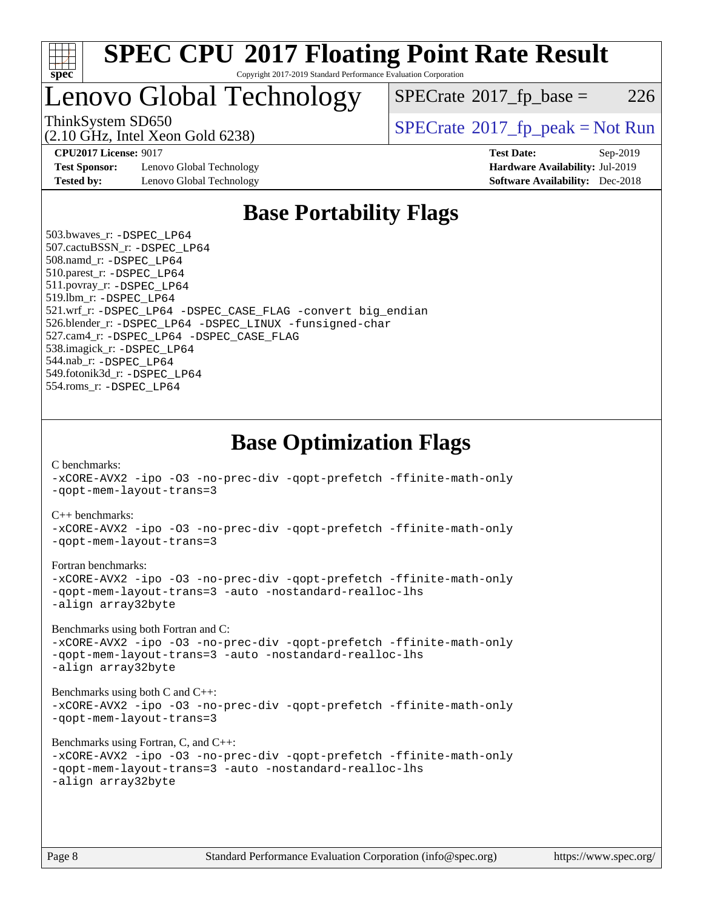

## Lenovo Global Technology

 $SPECTate@2017_fp\_base = 226$ 

(2.10 GHz, Intel Xeon Gold 6238)

ThinkSystem SD650<br>  $SPECTR_{10}$  [SPECrate](http://www.spec.org/auto/cpu2017/Docs/result-fields.html#SPECrate2017fppeak)®[2017\\_fp\\_peak = N](http://www.spec.org/auto/cpu2017/Docs/result-fields.html#SPECrate2017fppeak)ot Run

**[Test Sponsor:](http://www.spec.org/auto/cpu2017/Docs/result-fields.html#TestSponsor)** Lenovo Global Technology **[Hardware Availability:](http://www.spec.org/auto/cpu2017/Docs/result-fields.html#HardwareAvailability)** Jul-2019 **[Tested by:](http://www.spec.org/auto/cpu2017/Docs/result-fields.html#Testedby)** Lenovo Global Technology **[Software Availability:](http://www.spec.org/auto/cpu2017/Docs/result-fields.html#SoftwareAvailability)** Dec-2018

**[CPU2017 License:](http://www.spec.org/auto/cpu2017/Docs/result-fields.html#CPU2017License)** 9017 **[Test Date:](http://www.spec.org/auto/cpu2017/Docs/result-fields.html#TestDate)** Sep-2019

### **[Base Portability Flags](http://www.spec.org/auto/cpu2017/Docs/result-fields.html#BasePortabilityFlags)**

 503.bwaves\_r: [-DSPEC\\_LP64](http://www.spec.org/cpu2017/results/res2019q4/cpu2017-20191014-19103.flags.html#suite_basePORTABILITY503_bwaves_r_DSPEC_LP64) 507.cactuBSSN\_r: [-DSPEC\\_LP64](http://www.spec.org/cpu2017/results/res2019q4/cpu2017-20191014-19103.flags.html#suite_basePORTABILITY507_cactuBSSN_r_DSPEC_LP64) 508.namd\_r: [-DSPEC\\_LP64](http://www.spec.org/cpu2017/results/res2019q4/cpu2017-20191014-19103.flags.html#suite_basePORTABILITY508_namd_r_DSPEC_LP64) 510.parest\_r: [-DSPEC\\_LP64](http://www.spec.org/cpu2017/results/res2019q4/cpu2017-20191014-19103.flags.html#suite_basePORTABILITY510_parest_r_DSPEC_LP64) 511.povray\_r: [-DSPEC\\_LP64](http://www.spec.org/cpu2017/results/res2019q4/cpu2017-20191014-19103.flags.html#suite_basePORTABILITY511_povray_r_DSPEC_LP64) 519.lbm\_r: [-DSPEC\\_LP64](http://www.spec.org/cpu2017/results/res2019q4/cpu2017-20191014-19103.flags.html#suite_basePORTABILITY519_lbm_r_DSPEC_LP64) 521.wrf\_r: [-DSPEC\\_LP64](http://www.spec.org/cpu2017/results/res2019q4/cpu2017-20191014-19103.flags.html#suite_basePORTABILITY521_wrf_r_DSPEC_LP64) [-DSPEC\\_CASE\\_FLAG](http://www.spec.org/cpu2017/results/res2019q4/cpu2017-20191014-19103.flags.html#b521.wrf_r_baseCPORTABILITY_DSPEC_CASE_FLAG) [-convert big\\_endian](http://www.spec.org/cpu2017/results/res2019q4/cpu2017-20191014-19103.flags.html#user_baseFPORTABILITY521_wrf_r_convert_big_endian_c3194028bc08c63ac5d04de18c48ce6d347e4e562e8892b8bdbdc0214820426deb8554edfa529a3fb25a586e65a3d812c835984020483e7e73212c4d31a38223) 526.blender\_r: [-DSPEC\\_LP64](http://www.spec.org/cpu2017/results/res2019q4/cpu2017-20191014-19103.flags.html#suite_basePORTABILITY526_blender_r_DSPEC_LP64) [-DSPEC\\_LINUX](http://www.spec.org/cpu2017/results/res2019q4/cpu2017-20191014-19103.flags.html#b526.blender_r_baseCPORTABILITY_DSPEC_LINUX) [-funsigned-char](http://www.spec.org/cpu2017/results/res2019q4/cpu2017-20191014-19103.flags.html#user_baseCPORTABILITY526_blender_r_force_uchar_40c60f00ab013830e2dd6774aeded3ff59883ba5a1fc5fc14077f794d777847726e2a5858cbc7672e36e1b067e7e5c1d9a74f7176df07886a243d7cc18edfe67) 527.cam4\_r: [-DSPEC\\_LP64](http://www.spec.org/cpu2017/results/res2019q4/cpu2017-20191014-19103.flags.html#suite_basePORTABILITY527_cam4_r_DSPEC_LP64) [-DSPEC\\_CASE\\_FLAG](http://www.spec.org/cpu2017/results/res2019q4/cpu2017-20191014-19103.flags.html#b527.cam4_r_baseCPORTABILITY_DSPEC_CASE_FLAG) 538.imagick\_r: [-DSPEC\\_LP64](http://www.spec.org/cpu2017/results/res2019q4/cpu2017-20191014-19103.flags.html#suite_basePORTABILITY538_imagick_r_DSPEC_LP64) 544.nab\_r: [-DSPEC\\_LP64](http://www.spec.org/cpu2017/results/res2019q4/cpu2017-20191014-19103.flags.html#suite_basePORTABILITY544_nab_r_DSPEC_LP64) 549.fotonik3d\_r: [-DSPEC\\_LP64](http://www.spec.org/cpu2017/results/res2019q4/cpu2017-20191014-19103.flags.html#suite_basePORTABILITY549_fotonik3d_r_DSPEC_LP64) 554.roms\_r: [-DSPEC\\_LP64](http://www.spec.org/cpu2017/results/res2019q4/cpu2017-20191014-19103.flags.html#suite_basePORTABILITY554_roms_r_DSPEC_LP64)

**[Base Optimization Flags](http://www.spec.org/auto/cpu2017/Docs/result-fields.html#BaseOptimizationFlags)**

[C benchmarks](http://www.spec.org/auto/cpu2017/Docs/result-fields.html#Cbenchmarks):

[-xCORE-AVX2](http://www.spec.org/cpu2017/results/res2019q4/cpu2017-20191014-19103.flags.html#user_CCbase_f-xCORE-AVX2) [-ipo](http://www.spec.org/cpu2017/results/res2019q4/cpu2017-20191014-19103.flags.html#user_CCbase_f-ipo) [-O3](http://www.spec.org/cpu2017/results/res2019q4/cpu2017-20191014-19103.flags.html#user_CCbase_f-O3) [-no-prec-div](http://www.spec.org/cpu2017/results/res2019q4/cpu2017-20191014-19103.flags.html#user_CCbase_f-no-prec-div) [-qopt-prefetch](http://www.spec.org/cpu2017/results/res2019q4/cpu2017-20191014-19103.flags.html#user_CCbase_f-qopt-prefetch) [-ffinite-math-only](http://www.spec.org/cpu2017/results/res2019q4/cpu2017-20191014-19103.flags.html#user_CCbase_f_finite_math_only_cb91587bd2077682c4b38af759c288ed7c732db004271a9512da14a4f8007909a5f1427ecbf1a0fb78ff2a814402c6114ac565ca162485bbcae155b5e4258871) [-qopt-mem-layout-trans=3](http://www.spec.org/cpu2017/results/res2019q4/cpu2017-20191014-19103.flags.html#user_CCbase_f-qopt-mem-layout-trans_de80db37974c74b1f0e20d883f0b675c88c3b01e9d123adea9b28688d64333345fb62bc4a798493513fdb68f60282f9a726aa07f478b2f7113531aecce732043) [C++ benchmarks:](http://www.spec.org/auto/cpu2017/Docs/result-fields.html#CXXbenchmarks) [-xCORE-AVX2](http://www.spec.org/cpu2017/results/res2019q4/cpu2017-20191014-19103.flags.html#user_CXXbase_f-xCORE-AVX2) [-ipo](http://www.spec.org/cpu2017/results/res2019q4/cpu2017-20191014-19103.flags.html#user_CXXbase_f-ipo) [-O3](http://www.spec.org/cpu2017/results/res2019q4/cpu2017-20191014-19103.flags.html#user_CXXbase_f-O3) [-no-prec-div](http://www.spec.org/cpu2017/results/res2019q4/cpu2017-20191014-19103.flags.html#user_CXXbase_f-no-prec-div) [-qopt-prefetch](http://www.spec.org/cpu2017/results/res2019q4/cpu2017-20191014-19103.flags.html#user_CXXbase_f-qopt-prefetch) [-ffinite-math-only](http://www.spec.org/cpu2017/results/res2019q4/cpu2017-20191014-19103.flags.html#user_CXXbase_f_finite_math_only_cb91587bd2077682c4b38af759c288ed7c732db004271a9512da14a4f8007909a5f1427ecbf1a0fb78ff2a814402c6114ac565ca162485bbcae155b5e4258871) [-qopt-mem-layout-trans=3](http://www.spec.org/cpu2017/results/res2019q4/cpu2017-20191014-19103.flags.html#user_CXXbase_f-qopt-mem-layout-trans_de80db37974c74b1f0e20d883f0b675c88c3b01e9d123adea9b28688d64333345fb62bc4a798493513fdb68f60282f9a726aa07f478b2f7113531aecce732043) [Fortran benchmarks](http://www.spec.org/auto/cpu2017/Docs/result-fields.html#Fortranbenchmarks): [-xCORE-AVX2](http://www.spec.org/cpu2017/results/res2019q4/cpu2017-20191014-19103.flags.html#user_FCbase_f-xCORE-AVX2) [-ipo](http://www.spec.org/cpu2017/results/res2019q4/cpu2017-20191014-19103.flags.html#user_FCbase_f-ipo) [-O3](http://www.spec.org/cpu2017/results/res2019q4/cpu2017-20191014-19103.flags.html#user_FCbase_f-O3) [-no-prec-div](http://www.spec.org/cpu2017/results/res2019q4/cpu2017-20191014-19103.flags.html#user_FCbase_f-no-prec-div) [-qopt-prefetch](http://www.spec.org/cpu2017/results/res2019q4/cpu2017-20191014-19103.flags.html#user_FCbase_f-qopt-prefetch) [-ffinite-math-only](http://www.spec.org/cpu2017/results/res2019q4/cpu2017-20191014-19103.flags.html#user_FCbase_f_finite_math_only_cb91587bd2077682c4b38af759c288ed7c732db004271a9512da14a4f8007909a5f1427ecbf1a0fb78ff2a814402c6114ac565ca162485bbcae155b5e4258871) [-qopt-mem-layout-trans=3](http://www.spec.org/cpu2017/results/res2019q4/cpu2017-20191014-19103.flags.html#user_FCbase_f-qopt-mem-layout-trans_de80db37974c74b1f0e20d883f0b675c88c3b01e9d123adea9b28688d64333345fb62bc4a798493513fdb68f60282f9a726aa07f478b2f7113531aecce732043) [-auto](http://www.spec.org/cpu2017/results/res2019q4/cpu2017-20191014-19103.flags.html#user_FCbase_f-auto) [-nostandard-realloc-lhs](http://www.spec.org/cpu2017/results/res2019q4/cpu2017-20191014-19103.flags.html#user_FCbase_f_2003_std_realloc_82b4557e90729c0f113870c07e44d33d6f5a304b4f63d4c15d2d0f1fab99f5daaed73bdb9275d9ae411527f28b936061aa8b9c8f2d63842963b95c9dd6426b8a) [-align array32byte](http://www.spec.org/cpu2017/results/res2019q4/cpu2017-20191014-19103.flags.html#user_FCbase_align_array32byte_b982fe038af199962ba9a80c053b8342c548c85b40b8e86eb3cc33dee0d7986a4af373ac2d51c3f7cf710a18d62fdce2948f201cd044323541f22fc0fffc51b6) [Benchmarks using both Fortran and C](http://www.spec.org/auto/cpu2017/Docs/result-fields.html#BenchmarksusingbothFortranandC): [-xCORE-AVX2](http://www.spec.org/cpu2017/results/res2019q4/cpu2017-20191014-19103.flags.html#user_CC_FCbase_f-xCORE-AVX2) [-ipo](http://www.spec.org/cpu2017/results/res2019q4/cpu2017-20191014-19103.flags.html#user_CC_FCbase_f-ipo) [-O3](http://www.spec.org/cpu2017/results/res2019q4/cpu2017-20191014-19103.flags.html#user_CC_FCbase_f-O3) [-no-prec-div](http://www.spec.org/cpu2017/results/res2019q4/cpu2017-20191014-19103.flags.html#user_CC_FCbase_f-no-prec-div) [-qopt-prefetch](http://www.spec.org/cpu2017/results/res2019q4/cpu2017-20191014-19103.flags.html#user_CC_FCbase_f-qopt-prefetch) [-ffinite-math-only](http://www.spec.org/cpu2017/results/res2019q4/cpu2017-20191014-19103.flags.html#user_CC_FCbase_f_finite_math_only_cb91587bd2077682c4b38af759c288ed7c732db004271a9512da14a4f8007909a5f1427ecbf1a0fb78ff2a814402c6114ac565ca162485bbcae155b5e4258871) [-qopt-mem-layout-trans=3](http://www.spec.org/cpu2017/results/res2019q4/cpu2017-20191014-19103.flags.html#user_CC_FCbase_f-qopt-mem-layout-trans_de80db37974c74b1f0e20d883f0b675c88c3b01e9d123adea9b28688d64333345fb62bc4a798493513fdb68f60282f9a726aa07f478b2f7113531aecce732043) [-auto](http://www.spec.org/cpu2017/results/res2019q4/cpu2017-20191014-19103.flags.html#user_CC_FCbase_f-auto) [-nostandard-realloc-lhs](http://www.spec.org/cpu2017/results/res2019q4/cpu2017-20191014-19103.flags.html#user_CC_FCbase_f_2003_std_realloc_82b4557e90729c0f113870c07e44d33d6f5a304b4f63d4c15d2d0f1fab99f5daaed73bdb9275d9ae411527f28b936061aa8b9c8f2d63842963b95c9dd6426b8a) [-align array32byte](http://www.spec.org/cpu2017/results/res2019q4/cpu2017-20191014-19103.flags.html#user_CC_FCbase_align_array32byte_b982fe038af199962ba9a80c053b8342c548c85b40b8e86eb3cc33dee0d7986a4af373ac2d51c3f7cf710a18d62fdce2948f201cd044323541f22fc0fffc51b6) [Benchmarks using both C and C++](http://www.spec.org/auto/cpu2017/Docs/result-fields.html#BenchmarksusingbothCandCXX): [-xCORE-AVX2](http://www.spec.org/cpu2017/results/res2019q4/cpu2017-20191014-19103.flags.html#user_CC_CXXbase_f-xCORE-AVX2) [-ipo](http://www.spec.org/cpu2017/results/res2019q4/cpu2017-20191014-19103.flags.html#user_CC_CXXbase_f-ipo) [-O3](http://www.spec.org/cpu2017/results/res2019q4/cpu2017-20191014-19103.flags.html#user_CC_CXXbase_f-O3) [-no-prec-div](http://www.spec.org/cpu2017/results/res2019q4/cpu2017-20191014-19103.flags.html#user_CC_CXXbase_f-no-prec-div) [-qopt-prefetch](http://www.spec.org/cpu2017/results/res2019q4/cpu2017-20191014-19103.flags.html#user_CC_CXXbase_f-qopt-prefetch) [-ffinite-math-only](http://www.spec.org/cpu2017/results/res2019q4/cpu2017-20191014-19103.flags.html#user_CC_CXXbase_f_finite_math_only_cb91587bd2077682c4b38af759c288ed7c732db004271a9512da14a4f8007909a5f1427ecbf1a0fb78ff2a814402c6114ac565ca162485bbcae155b5e4258871) [-qopt-mem-layout-trans=3](http://www.spec.org/cpu2017/results/res2019q4/cpu2017-20191014-19103.flags.html#user_CC_CXXbase_f-qopt-mem-layout-trans_de80db37974c74b1f0e20d883f0b675c88c3b01e9d123adea9b28688d64333345fb62bc4a798493513fdb68f60282f9a726aa07f478b2f7113531aecce732043) [Benchmarks using Fortran, C, and C++:](http://www.spec.org/auto/cpu2017/Docs/result-fields.html#BenchmarksusingFortranCandCXX) [-xCORE-AVX2](http://www.spec.org/cpu2017/results/res2019q4/cpu2017-20191014-19103.flags.html#user_CC_CXX_FCbase_f-xCORE-AVX2) [-ipo](http://www.spec.org/cpu2017/results/res2019q4/cpu2017-20191014-19103.flags.html#user_CC_CXX_FCbase_f-ipo) [-O3](http://www.spec.org/cpu2017/results/res2019q4/cpu2017-20191014-19103.flags.html#user_CC_CXX_FCbase_f-O3) [-no-prec-div](http://www.spec.org/cpu2017/results/res2019q4/cpu2017-20191014-19103.flags.html#user_CC_CXX_FCbase_f-no-prec-div) [-qopt-prefetch](http://www.spec.org/cpu2017/results/res2019q4/cpu2017-20191014-19103.flags.html#user_CC_CXX_FCbase_f-qopt-prefetch) [-ffinite-math-only](http://www.spec.org/cpu2017/results/res2019q4/cpu2017-20191014-19103.flags.html#user_CC_CXX_FCbase_f_finite_math_only_cb91587bd2077682c4b38af759c288ed7c732db004271a9512da14a4f8007909a5f1427ecbf1a0fb78ff2a814402c6114ac565ca162485bbcae155b5e4258871) [-qopt-mem-layout-trans=3](http://www.spec.org/cpu2017/results/res2019q4/cpu2017-20191014-19103.flags.html#user_CC_CXX_FCbase_f-qopt-mem-layout-trans_de80db37974c74b1f0e20d883f0b675c88c3b01e9d123adea9b28688d64333345fb62bc4a798493513fdb68f60282f9a726aa07f478b2f7113531aecce732043) [-auto](http://www.spec.org/cpu2017/results/res2019q4/cpu2017-20191014-19103.flags.html#user_CC_CXX_FCbase_f-auto) [-nostandard-realloc-lhs](http://www.spec.org/cpu2017/results/res2019q4/cpu2017-20191014-19103.flags.html#user_CC_CXX_FCbase_f_2003_std_realloc_82b4557e90729c0f113870c07e44d33d6f5a304b4f63d4c15d2d0f1fab99f5daaed73bdb9275d9ae411527f28b936061aa8b9c8f2d63842963b95c9dd6426b8a) [-align array32byte](http://www.spec.org/cpu2017/results/res2019q4/cpu2017-20191014-19103.flags.html#user_CC_CXX_FCbase_align_array32byte_b982fe038af199962ba9a80c053b8342c548c85b40b8e86eb3cc33dee0d7986a4af373ac2d51c3f7cf710a18d62fdce2948f201cd044323541f22fc0fffc51b6)